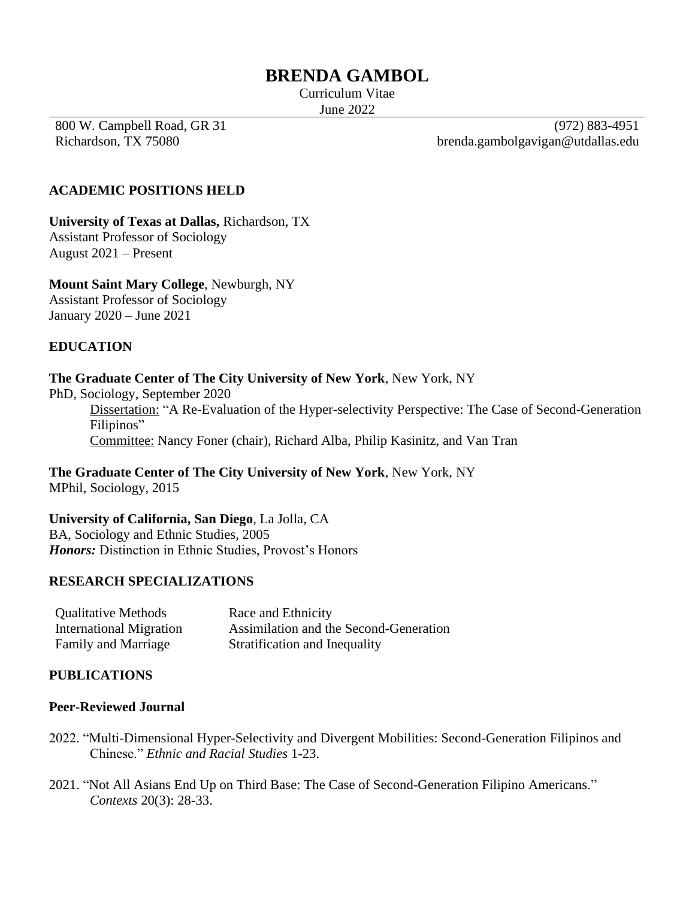# **BRENDA GAMBOL**

Curriculum Vitae June 2022

800 W. Campbell Road, GR 31 Richardson, TX 75080

(972) 883-4951 brenda.gambolgavigan@utdallas.edu

### **ACADEMIC POSITIONS HELD**

**University of Texas at Dallas,** Richardson, TX Assistant Professor of Sociology August 2021 – Present

**Mount Saint Mary College**, Newburgh, NY Assistant Professor of Sociology

January 2020 – June 2021

### **EDUCATION**

#### **The Graduate Center of The City University of New York**, New York, NY

PhD, Sociology, September 2020

Dissertation: "A Re-Evaluation of the Hyper-selectivity Perspective: The Case of Second-Generation Filipinos"

Committee: Nancy Foner (chair), Richard Alba, Philip Kasinitz, and Van Tran

**The Graduate Center of The City University of New York**, New York, NY MPhil, Sociology, 2015

**University of California, San Diego**, La Jolla, CA BA, Sociology and Ethnic Studies, 2005 *Honors:* Distinction in Ethnic Studies, Provost's Honors

#### **RESEARCH SPECIALIZATIONS**

| <b>Qualitative Methods</b> | Race and Ethnicity                     |
|----------------------------|----------------------------------------|
| International Migration    | Assimilation and the Second-Generation |
| <b>Family and Marriage</b> | Stratification and Inequality          |

#### **PUBLICATIONS**

#### **Peer-Reviewed Journal**

- 2022. "Multi-Dimensional Hyper-Selectivity and Divergent Mobilities: Second-Generation Filipinos and Chinese." *Ethnic and Racial Studies* 1-23.
- 2021. "Not All Asians End Up on Third Base: The Case of Second-Generation Filipino Americans." *Contexts* 20(3): 28-33.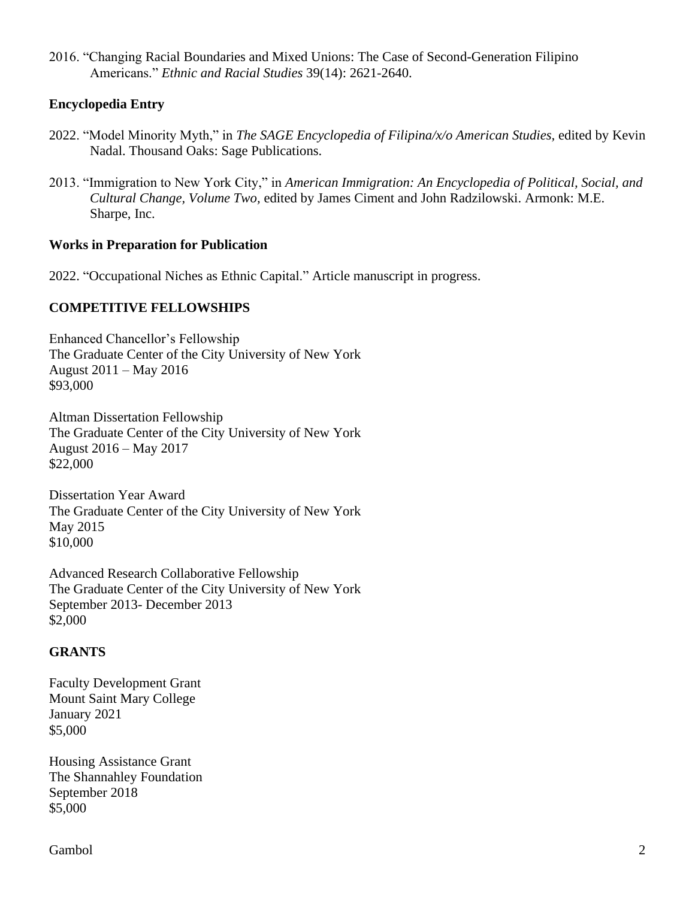2016. "Changing Racial Boundaries and Mixed Unions: The Case of Second-Generation Filipino Americans." *Ethnic and Racial Studies* 39(14): 2621-2640.

### **Encyclopedia Entry**

- 2022. "Model Minority Myth," in *The SAGE Encyclopedia of Filipina/x/o American Studies,* edited by Kevin Nadal. Thousand Oaks: Sage Publications.
- 2013. "Immigration to New York City," in *American Immigration: An Encyclopedia of Political, Social, and Cultural Change, Volume Two,* edited by James Ciment and John Radzilowski. Armonk: M.E. Sharpe, Inc.

#### **Works in Preparation for Publication**

2022. "Occupational Niches as Ethnic Capital." Article manuscript in progress.

#### **COMPETITIVE FELLOWSHIPS**

Enhanced Chancellor's Fellowship The Graduate Center of the City University of New York August 2011 – May 2016 \$93,000

Altman Dissertation Fellowship The Graduate Center of the City University of New York August 2016 – May 2017 \$22,000

Dissertation Year Award The Graduate Center of the City University of New York May 2015 \$10,000

Advanced Research Collaborative Fellowship The Graduate Center of the City University of New York September 2013- December 2013 \$2,000

#### **GRANTS**

Faculty Development Grant Mount Saint Mary College January 2021 \$5,000

Housing Assistance Grant The Shannahley Foundation September 2018 \$5,000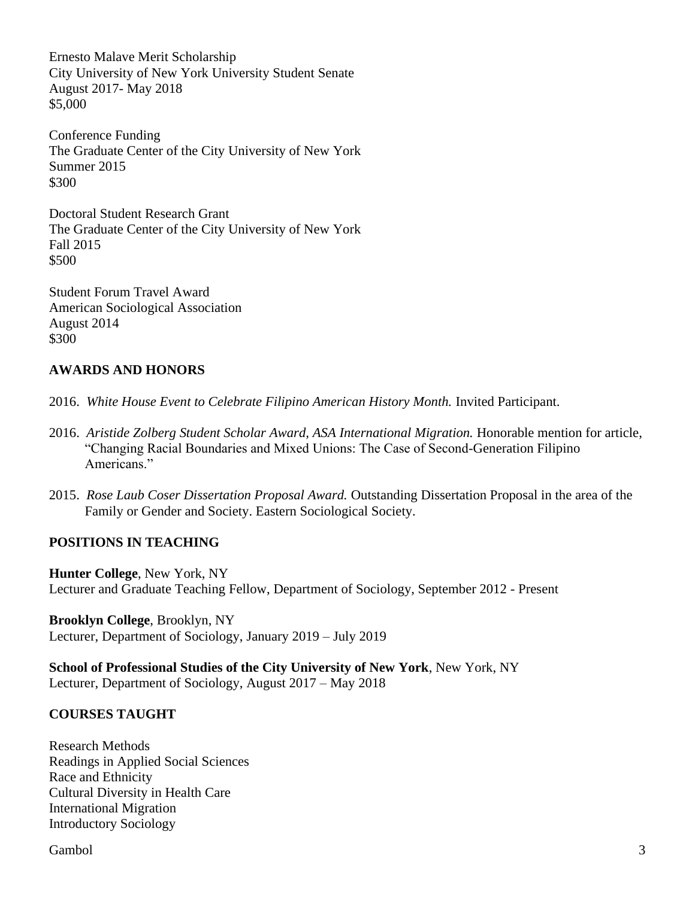Ernesto Malave Merit Scholarship City University of New York University Student Senate August 2017- May 2018 \$5,000

Conference Funding The Graduate Center of the City University of New York Summer 2015 \$300

Doctoral Student Research Grant The Graduate Center of the City University of New York Fall 2015 \$500

Student Forum Travel Award American Sociological Association August 2014 \$300

# **AWARDS AND HONORS**

2016. *White House Event to Celebrate Filipino American History Month.* Invited Participant.

- 2016. *Aristide Zolberg Student Scholar Award, ASA International Migration.* Honorable mention for article, "Changing Racial Boundaries and Mixed Unions: The Case of Second-Generation Filipino Americans."
- 2015. *Rose Laub Coser Dissertation Proposal Award.* Outstanding Dissertation Proposal in the area of the Family or Gender and Society. Eastern Sociological Society.

### **POSITIONS IN TEACHING**

**Hunter College**, New York, NY Lecturer and Graduate Teaching Fellow, Department of Sociology, September 2012 - Present

**Brooklyn College**, Brooklyn, NY Lecturer, Department of Sociology, January 2019 – July 2019

**School of Professional Studies of the City University of New York**, New York, NY Lecturer, Department of Sociology, August 2017 – May 2018

### **COURSES TAUGHT**

Research Methods Readings in Applied Social Sciences Race and Ethnicity Cultural Diversity in Health Care International Migration Introductory Sociology

Gambol 3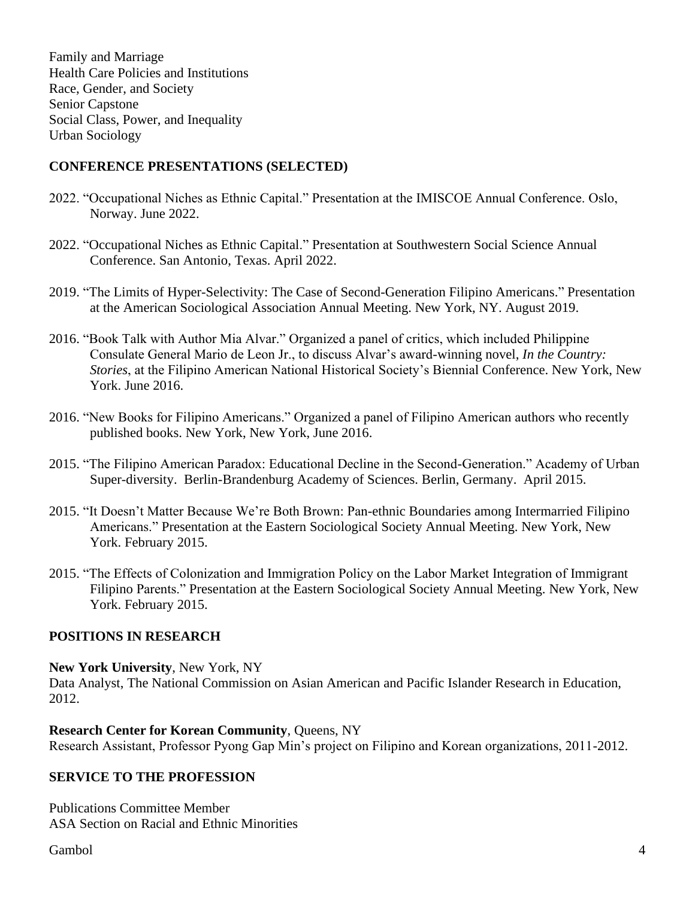Family and Marriage Health Care Policies and Institutions Race, Gender, and Society Senior Capstone Social Class, Power, and Inequality Urban Sociology

### **CONFERENCE PRESENTATIONS (SELECTED)**

- 2022. "Occupational Niches as Ethnic Capital." Presentation at the IMISCOE Annual Conference. Oslo, Norway. June 2022.
- 2022. "Occupational Niches as Ethnic Capital." Presentation at Southwestern Social Science Annual Conference. San Antonio, Texas. April 2022.
- 2019. "The Limits of Hyper-Selectivity: The Case of Second-Generation Filipino Americans." Presentation at the American Sociological Association Annual Meeting. New York, NY. August 2019.
- 2016. "Book Talk with Author Mia Alvar." Organized a panel of critics, which included Philippine Consulate General Mario de Leon Jr., to discuss Alvar's award-winning novel, *In the Country: Stories*, at the Filipino American National Historical Society's Biennial Conference. New York, New York. June 2016.
- 2016. "New Books for Filipino Americans." Organized a panel of Filipino American authors who recently published books. New York, New York, June 2016.
- 2015. "The Filipino American Paradox: Educational Decline in the Second-Generation." Academy of Urban Super-diversity. Berlin-Brandenburg Academy of Sciences. Berlin, Germany. April 2015.
- 2015. "It Doesn't Matter Because We're Both Brown: Pan-ethnic Boundaries among Intermarried Filipino Americans." Presentation at the Eastern Sociological Society Annual Meeting. New York, New York. February 2015.
- 2015. "The Effects of Colonization and Immigration Policy on the Labor Market Integration of Immigrant Filipino Parents." Presentation at the Eastern Sociological Society Annual Meeting. New York, New York. February 2015.

### **POSITIONS IN RESEARCH**

#### **New York University**, New York, NY

Data Analyst, The National Commission on Asian American and Pacific Islander Research in Education, 2012.

#### **Research Center for Korean Community**, Queens, NY

Research Assistant, Professor Pyong Gap Min's project on Filipino and Korean organizations, 2011-2012.

### **SERVICE TO THE PROFESSION**

Publications Committee Member ASA Section on Racial and Ethnic Minorities

Gambol 4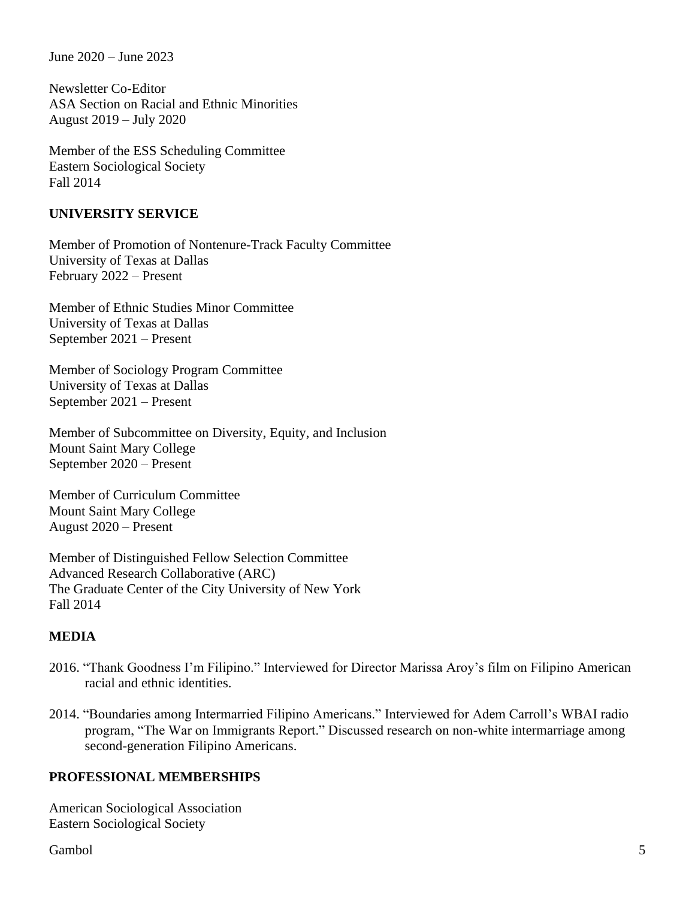June 2020 – June 2023

Newsletter Co-Editor ASA Section on Racial and Ethnic Minorities August 2019 – July 2020

Member of the ESS Scheduling Committee Eastern Sociological Society Fall 2014

#### **UNIVERSITY SERVICE**

Member of Promotion of Nontenure-Track Faculty Committee University of Texas at Dallas February 2022 – Present

Member of Ethnic Studies Minor Committee University of Texas at Dallas September 2021 – Present

Member of Sociology Program Committee University of Texas at Dallas September 2021 – Present

Member of Subcommittee on Diversity, Equity, and Inclusion Mount Saint Mary College September 2020 – Present

Member of Curriculum Committee Mount Saint Mary College August 2020 – Present

Member of Distinguished Fellow Selection Committee Advanced Research Collaborative (ARC) The Graduate Center of the City University of New York Fall 2014

# **MEDIA**

- 2016. "Thank Goodness I'm Filipino." Interviewed for Director Marissa Aroy's film on Filipino American racial and ethnic identities.
- 2014. "Boundaries among Intermarried Filipino Americans." Interviewed for Adem Carroll's WBAI radio program, "The War on Immigrants Report." Discussed research on non-white intermarriage among second-generation Filipino Americans.

### **PROFESSIONAL MEMBERSHIPS**

American Sociological Association Eastern Sociological Society

Gambol 5